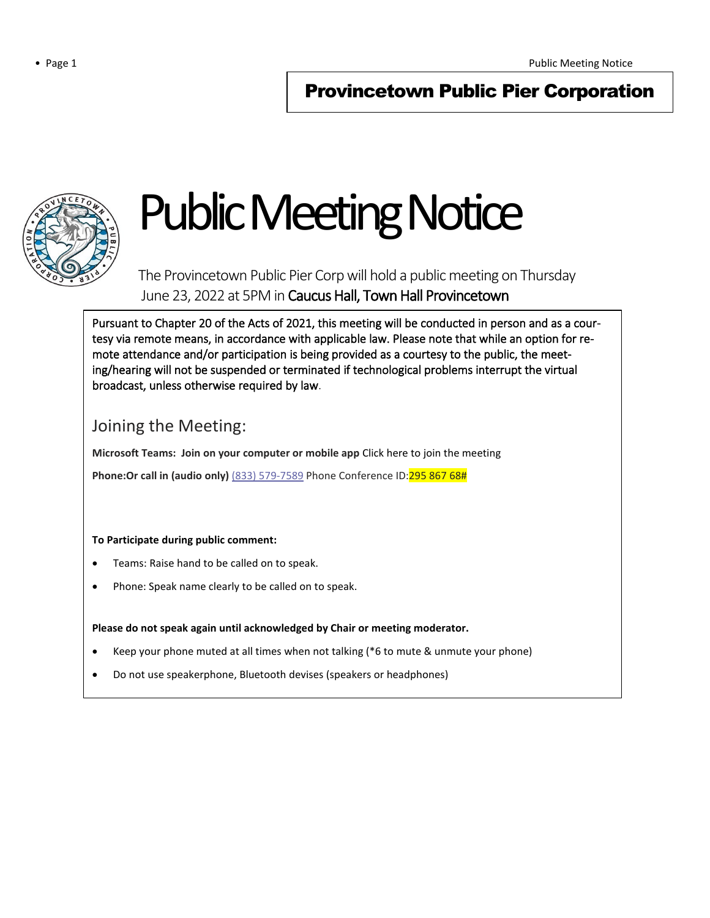# Provincetown Public Pier Corporation



# Public Meeting Notice

The Provincetown Public Pier Corp will hold a public meeting on Thursday June 23, 2022 at 5PM in Caucus Hall, Town Hall Provincetown

Pursuant to Chapter 20 of the Acts of 2021, this meeting will be conducted in person and as a courtesy via remote means, in accordance with applicable law. Please note that while an option for remote attendance and/or participation is being provided as a courtesy to the public, the meeting/hearing will not be suspended or terminated if technological problems interrupt the virtual broadcast, unless otherwise required by law.

# Joining the Meeting:

**Microsoft Teams: Join on your computer or mobile app** Click here to join the meeting

**Phone:Or call in (audio only)** (833) 579-7589 Phone Conference ID: 295 867 68#

## **To Participate during public comment:**

1

- Teams: Raise hand to be called on to speak.
- Phone: Speak name clearly to be called on to speak.

## **Please do not speak again until acknowledged by Chair or meeting moderator.**

- Keep your phone muted at all times when not talking (\*6 to mute & unmute your phone)
- Do not use speakerphone, Bluetooth devises (speakers or headphones)